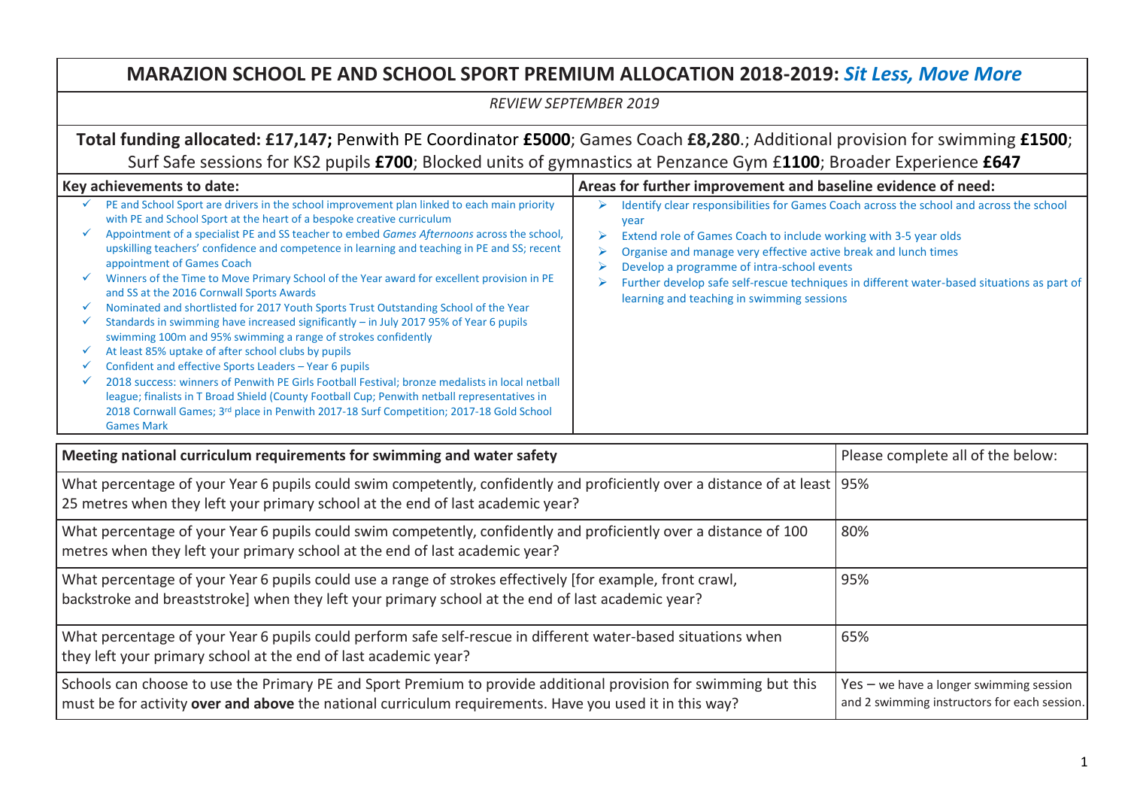## **MARAZION SCHOOL PE AND SCHOOL SPORT PREMIUM ALLOCATION 2018-2019:** *Sit Less, Move More*

*REVIEW SEPTEMBER 2019*

**Total funding allocated: £17,147;** Penwith PE Coordinator **£5000**; Games Coach **£8,280**.; Additional provision for swimming **£1500**; Surf Safe sessions for KS2 pupils **£700**; Blocked units of gymnastics at Penzance Gym £**1100**; Broader Experience **£647**

## Key achievements to date:<br>**Areas for further improvement and baseline evidence of need:**  $\checkmark$  PE and School Sport are drivers in the school improvement plan linked to each main priority with PE and School Sport at the heart of a bespoke creative curriculum Appointment of a specialist PE and SS teacher to embed *Games Afternoons* across the school, upskilling teachers' confidence and competence in learning and teaching in PE and SS; recent appointment of Games Coach  $\checkmark$  Winners of the Time to Move Primary School of the Year award for excellent provision in PE and SS at the 2016 Cornwall Sports Awards  $\checkmark$  Nominated and shortlisted for 2017 Youth Sports Trust Outstanding School of the Year  $\checkmark$  Standards in swimming have increased significantly – in July 2017 95% of Year 6 pupils swimming 100m and 95% swimming a range of strokes confidently  $\checkmark$  At least 85% uptake of after school clubs by pupils  $\checkmark$  Confident and effective Sports Leaders – Year 6 pupils  $\checkmark$  2018 success: winners of Penwith PE Girls Football Festival; bronze medalists in local netball league; finalists in T Broad Shield (County Football Cup; Penwith netball representatives in 2018 Cornwall Games; 3rd place in Penwith 2017-18 Surf Competition; 2017-18 Gold School Games Mark Identify clear responsibilities for Games Coach across the school and across the school year Extend role of Games Coach to include working with 3-5 year olds  $\triangleright$  Organise and manage very effective active break and lunch times  $\triangleright$  Develop a programme of intra-school events  $\triangleright$  Further develop safe self-rescue techniques in different water-based situations as part of learning and teaching in swimming sessions

| Meeting national curriculum requirements for swimming and water safety                                                                                                                                                      | Please complete all of the below:                                                         |
|-----------------------------------------------------------------------------------------------------------------------------------------------------------------------------------------------------------------------------|-------------------------------------------------------------------------------------------|
| What percentage of your Year 6 pupils could swim competently, confidently and proficiently over a distance of at least   95%<br>25 metres when they left your primary school at the end of last academic year?              |                                                                                           |
| What percentage of your Year 6 pupils could swim competently, confidently and proficiently over a distance of 100<br>metres when they left your primary school at the end of last academic year?                            | 80%                                                                                       |
| What percentage of your Year 6 pupils could use a range of strokes effectively [for example, front crawl,<br>backstroke and breaststroke] when they left your primary school at the end of last academic year?              | 95%                                                                                       |
| What percentage of your Year 6 pupils could perform safe self-rescue in different water-based situations when<br>they left your primary school at the end of last academic year?                                            | 65%                                                                                       |
| Schools can choose to use the Primary PE and Sport Premium to provide additional provision for swimming but this<br>must be for activity over and above the national curriculum requirements. Have you used it in this way? | $Yes - we have a longer swimming session$<br>and 2 swimming instructors for each session. |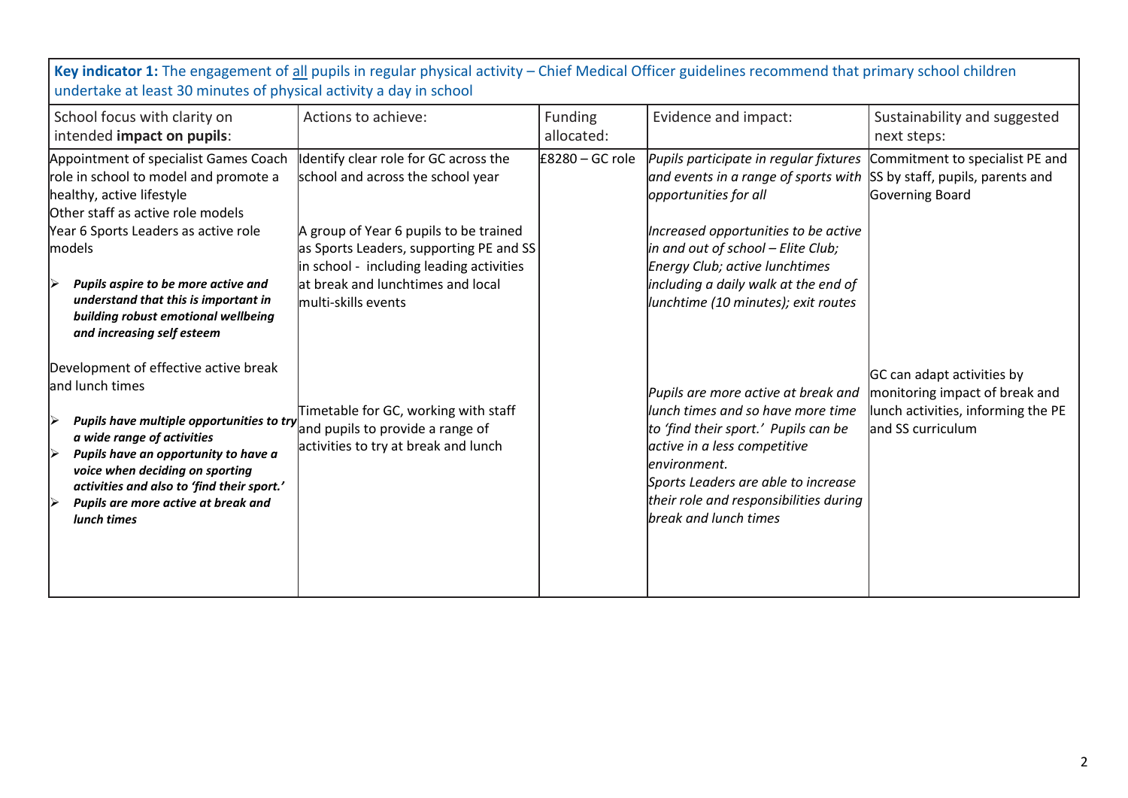| undertake at least 30 minutes of physical activity a day in school                                                                                                                                                                                                                                                                                     |                                                                                                                                                                                                                                                                         |                       |                                                                                                                                                                                                                                                                                                               |                                                                                                                         |
|--------------------------------------------------------------------------------------------------------------------------------------------------------------------------------------------------------------------------------------------------------------------------------------------------------------------------------------------------------|-------------------------------------------------------------------------------------------------------------------------------------------------------------------------------------------------------------------------------------------------------------------------|-----------------------|---------------------------------------------------------------------------------------------------------------------------------------------------------------------------------------------------------------------------------------------------------------------------------------------------------------|-------------------------------------------------------------------------------------------------------------------------|
| School focus with clarity on<br>intended impact on pupils:                                                                                                                                                                                                                                                                                             | Actions to achieve:                                                                                                                                                                                                                                                     | Funding<br>allocated: | Evidence and impact:                                                                                                                                                                                                                                                                                          | Sustainability and suggested<br>next steps:                                                                             |
| Appointment of specialist Games Coach<br>role in school to model and promote a<br>healthy, active lifestyle<br>Other staff as active role models<br>Year 6 Sports Leaders as active role<br>models<br>Pupils aspire to be more active and<br>understand that this is important in<br>building robust emotional wellbeing<br>and increasing self esteem | Identify clear role for GC across the<br>school and across the school year<br>A group of Year 6 pupils to be trained<br>as Sports Leaders, supporting PE and SS<br>in school - including leading activities<br>at break and lunchtimes and local<br>multi-skills events | $£8280 - GC$ role     | Pupils participate in regular fixtures<br>and events in a range of sports with<br>opportunities for all<br>Increased opportunities to be active<br>in and out of school – Elite Club;<br><b>Energy Club; active lunchtimes</b><br>including a daily walk at the end of<br>lunchtime (10 minutes); exit routes | Commitment to specialist PE and<br>SS by staff, pupils, parents and<br>Governing Board                                  |
| Development of effective active break<br>and lunch times<br>Pupils have multiple opportunities to try<br>a wide range of activities<br>Pupils have an opportunity to have a<br>voice when deciding on sporting<br>activities and also to 'find their sport.'<br>Pupils are more active at break and<br>lunch times                                     | Timetable for GC, working with staff<br>and pupils to provide a range of<br>activities to try at break and lunch                                                                                                                                                        |                       | Pupils are more active at break and<br>lunch times and so have more time<br>to 'find their sport.' Pupils can be<br>active in a less competitive<br>lenvironment.<br>Sports Leaders are able to increase<br>their role and responsibilities during<br>break and lunch times                                   | GC can adapt activities by<br>monitoring impact of break and<br>lunch activities, informing the PE<br>and SS curriculum |

**Key indicator 1:** The engagement of all pupils in regular physical activity – Chief Medical Officer guidelines recommend that primary school children undertake at least 30 minutes of physical activity a day in school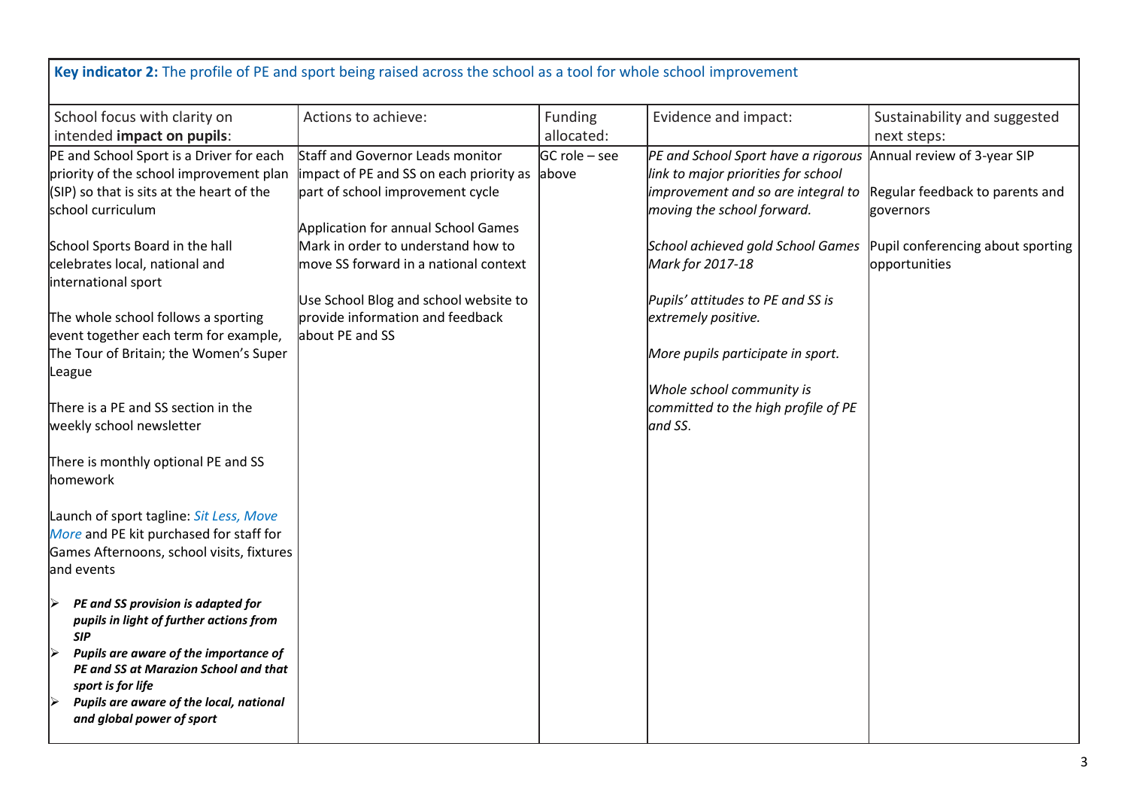| Key indicator 2: The profile of PE and sport being raised across the school as a tool for whole school improvement                                                                                                                                                                                                                                                                                                                                                                       |                                                                                                                                                                                                                                                                                                                                       |                                |                                                                                                                                                                                                                                                                                                                                                                                                                     |                                                                                                    |
|------------------------------------------------------------------------------------------------------------------------------------------------------------------------------------------------------------------------------------------------------------------------------------------------------------------------------------------------------------------------------------------------------------------------------------------------------------------------------------------|---------------------------------------------------------------------------------------------------------------------------------------------------------------------------------------------------------------------------------------------------------------------------------------------------------------------------------------|--------------------------------|---------------------------------------------------------------------------------------------------------------------------------------------------------------------------------------------------------------------------------------------------------------------------------------------------------------------------------------------------------------------------------------------------------------------|----------------------------------------------------------------------------------------------------|
| School focus with clarity on                                                                                                                                                                                                                                                                                                                                                                                                                                                             | Actions to achieve:                                                                                                                                                                                                                                                                                                                   | Funding<br>allocated:          | Evidence and impact:                                                                                                                                                                                                                                                                                                                                                                                                | Sustainability and suggested<br>next steps:                                                        |
| intended impact on pupils:<br>PE and School Sport is a Driver for each<br>priority of the school improvement plan<br>$(SIP)$ so that is sits at the heart of the<br>school curriculum<br>School Sports Board in the hall<br>celebrates local, national and<br>international sport<br>The whole school follows a sporting<br>event together each term for example,<br>The Tour of Britain; the Women's Super<br>League<br>There is a PE and SS section in the<br>weekly school newsletter | Staff and Governor Leads monitor<br>impact of PE and SS on each priority as<br>part of school improvement cycle<br>Application for annual School Games<br>Mark in order to understand how to<br>move SS forward in a national context<br>Use School Blog and school website to<br>provide information and feedback<br>about PE and SS | <b>GC</b> role – see<br>labove | PE and School Sport have a rigorous Annual review of 3-year SIP<br>link to major priorities for school<br>improvement and so are integral to<br>moving the school forward.<br>School achieved gold School Games<br>Mark for 2017-18<br>Pupils' attitudes to PE and SS is<br>extremely positive.<br>More pupils participate in sport.<br>Whole school community is<br>committed to the high profile of PE<br>and SS. | Regular feedback to parents and<br>governors<br>Pupil conferencing about sporting<br>opportunities |
| There is monthly optional PE and SS<br>homework                                                                                                                                                                                                                                                                                                                                                                                                                                          |                                                                                                                                                                                                                                                                                                                                       |                                |                                                                                                                                                                                                                                                                                                                                                                                                                     |                                                                                                    |
| Launch of sport tagline: Sit Less, Move<br>More and PE kit purchased for staff for<br>Games Afternoons, school visits, fixtures<br>and events                                                                                                                                                                                                                                                                                                                                            |                                                                                                                                                                                                                                                                                                                                       |                                |                                                                                                                                                                                                                                                                                                                                                                                                                     |                                                                                                    |
| PE and SS provision is adapted for<br>▶<br>pupils in light of further actions from<br><b>SIP</b><br>▶<br>Pupils are aware of the importance of<br>PE and SS at Marazion School and that<br>sport is for life<br>Pupils are aware of the local, national<br>▶<br>and global power of sport                                                                                                                                                                                                |                                                                                                                                                                                                                                                                                                                                       |                                |                                                                                                                                                                                                                                                                                                                                                                                                                     |                                                                                                    |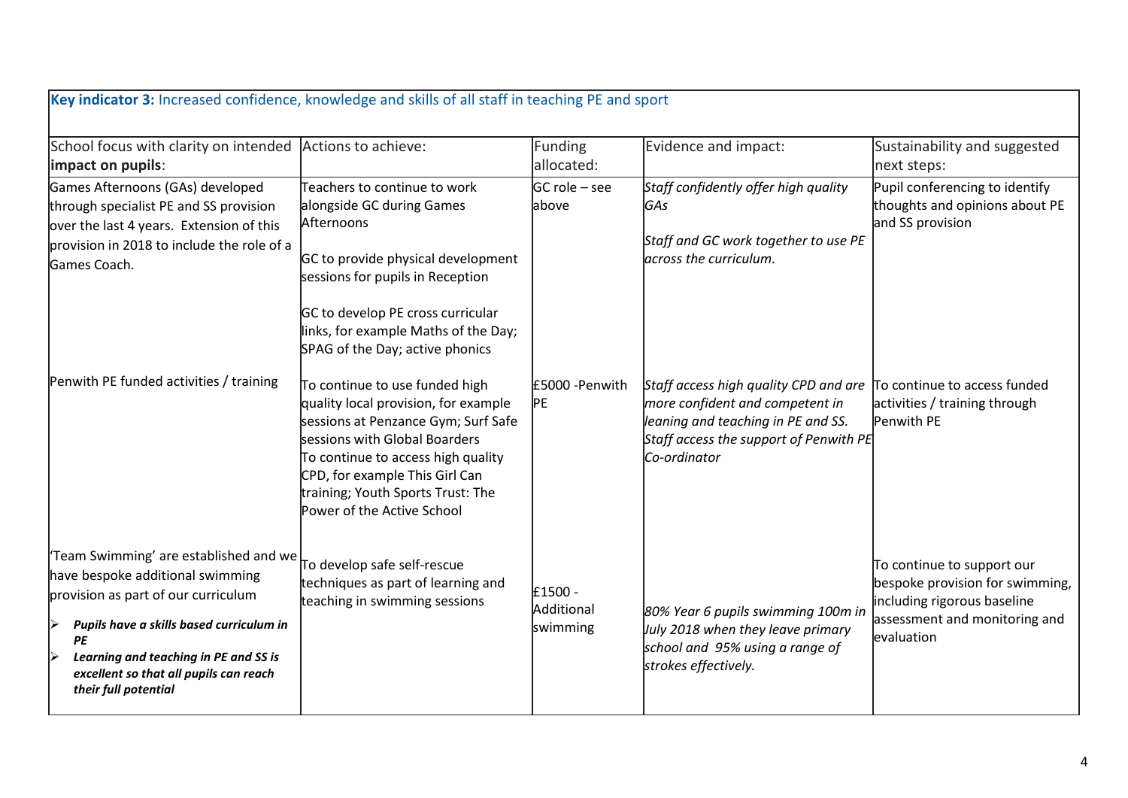| Key indicator 3: Increased confidence, knowledge and skills of all staff in teaching PE and sport                                                                                                                                                                                   |                                                                                                                                                                                                                                                                                           |                                   |                                                                                                                                                                          |                                                                                                                                             |
|-------------------------------------------------------------------------------------------------------------------------------------------------------------------------------------------------------------------------------------------------------------------------------------|-------------------------------------------------------------------------------------------------------------------------------------------------------------------------------------------------------------------------------------------------------------------------------------------|-----------------------------------|--------------------------------------------------------------------------------------------------------------------------------------------------------------------------|---------------------------------------------------------------------------------------------------------------------------------------------|
| School focus with clarity on intended<br>impact on pupils:                                                                                                                                                                                                                          | Actions to achieve:                                                                                                                                                                                                                                                                       | Funding<br>allocated:             | Evidence and impact:                                                                                                                                                     | Sustainability and suggested<br>next steps:                                                                                                 |
| Games Afternoons (GAs) developed<br>through specialist PE and SS provision<br>over the last 4 years. Extension of this<br>provision in 2018 to include the role of a<br>Games Coach.                                                                                                | Teachers to continue to work<br>alongside GC during Games<br>Afternoons<br>GC to provide physical development<br>sessions for pupils in Reception<br>GC to develop PE cross curricular<br>links, for example Maths of the Day;<br>SPAG of the Day; active phonics                         | GC role – see<br>labove           | Staff confidently offer high quality<br> GAs<br>Staff and GC work together to use PE<br>across the curriculum.                                                           | Pupil conferencing to identify<br>thoughts and opinions about PE<br>and SS provision                                                        |
| Penwith PE funded activities / training                                                                                                                                                                                                                                             | To continue to use funded high<br>quality local provision, for example<br>sessions at Penzance Gym; Surf Safe<br>sessions with Global Boarders<br>To continue to access high quality<br>CPD, for example This Girl Can<br>training; Youth Sports Trust: The<br>Power of the Active School | £5000 - Penwith<br><b>PE</b>      | Staff access high quality CPD and are<br>more confident and competent in<br>leaning and teaching in PE and SS.<br>Staff access the support of Penwith PE<br>Co-ordinator | To continue to access funded<br>activities / training through<br>Penwith PE                                                                 |
| 'Team Swimming' are established and we<br>have bespoke additional swimming<br>provision as part of our curriculum<br>Pupils have a skills based curriculum in<br>▶<br>PE<br>Learning and teaching in PE and SS is<br>excellent so that all pupils can reach<br>their full potential | To develop safe self-rescue<br>techniques as part of learning and<br>teaching in swimming sessions                                                                                                                                                                                        | £1500 -<br>Additional<br>swimming | 80% Year 6 pupils swimming 100m in<br>July 2018 when they leave primary<br>school and 95% using a range of<br>strokes effectively.                                       | To continue to support our<br>bespoke provision for swimming,<br>including rigorous baseline<br>assessment and monitoring and<br>evaluation |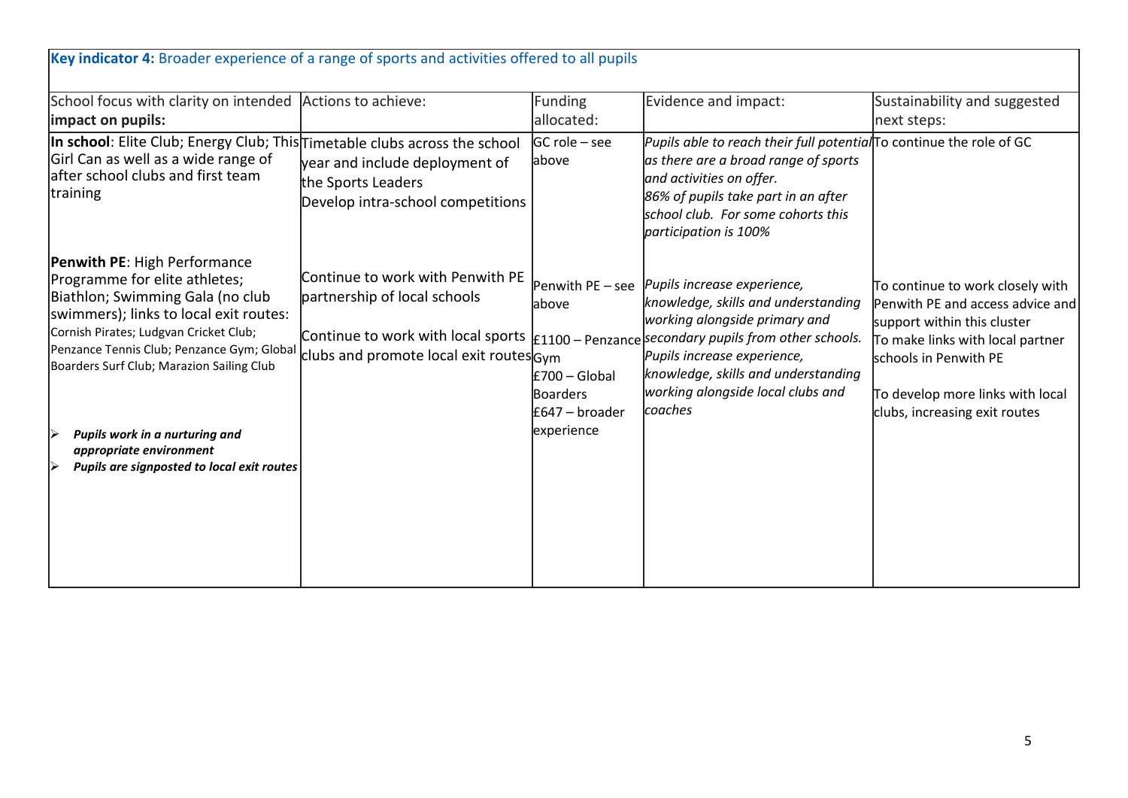| School focus with clarity on intended Actions to achieve:<br>impact on pupils:                                                                                                                                                                                                                                                                                                                     |                                                                                                                                                   | <b>Funding</b><br>allocated:                                                                  | Evidence and impact:                                                                                                                                                                                                                                                               | Sustainability and suggested<br>next steps:                                                                                                                                                                                           |
|----------------------------------------------------------------------------------------------------------------------------------------------------------------------------------------------------------------------------------------------------------------------------------------------------------------------------------------------------------------------------------------------------|---------------------------------------------------------------------------------------------------------------------------------------------------|-----------------------------------------------------------------------------------------------|------------------------------------------------------------------------------------------------------------------------------------------------------------------------------------------------------------------------------------------------------------------------------------|---------------------------------------------------------------------------------------------------------------------------------------------------------------------------------------------------------------------------------------|
| In school: Elite Club; Energy Club; This Timetable clubs across the school<br>Girl Can as well as a wide range of<br>lafter school clubs and first team<br><b>training</b>                                                                                                                                                                                                                         | year and include deployment of<br>the Sports Leaders<br>Develop intra-school competitions                                                         | $GC$ role – see<br>above                                                                      | Pupils able to reach their full potential To continue the role of GC<br>as there are a broad range of sports<br>and activities on offer.<br>86% of pupils take part in an after<br>school club. For some cohorts this<br>participation is 100%                                     |                                                                                                                                                                                                                                       |
| <b>Penwith PE: High Performance</b><br>Programme for elite athletes;<br>Biathlon; Swimming Gala (no club<br>swimmers); links to local exit routes:<br>Cornish Pirates; Ludgvan Cricket Club;<br>Penzance Tennis Club; Penzance Gym; Global<br>Boarders Surf Club; Marazion Sailing Club<br>Pupils work in a nurturing and<br>appropriate environment<br>Pupils are signposted to local exit routes | Continue to work with Penwith PE<br>partnership of local schools<br>Continue to work with local sports<br>clubs and promote local exit routes Gym | Penwith PE - see<br>above<br>£700 - Global<br><b>Boarders</b><br>£647 - broader<br>experience | Pupils increase experience,<br>knowledge, skills and understanding<br>working alongside primary and<br>£1100 - Penzance secondary pupils from other schools.<br>Pupils increase experience,<br>knowledge, skills and understanding<br>working alongside local clubs and<br>coaches | To continue to work closely with<br>Penwith PE and access advice and<br>support within this cluster<br>To make links with local partner<br>schools in Penwith PE<br>To develop more links with local<br>clubs, increasing exit routes |
|                                                                                                                                                                                                                                                                                                                                                                                                    |                                                                                                                                                   |                                                                                               |                                                                                                                                                                                                                                                                                    |                                                                                                                                                                                                                                       |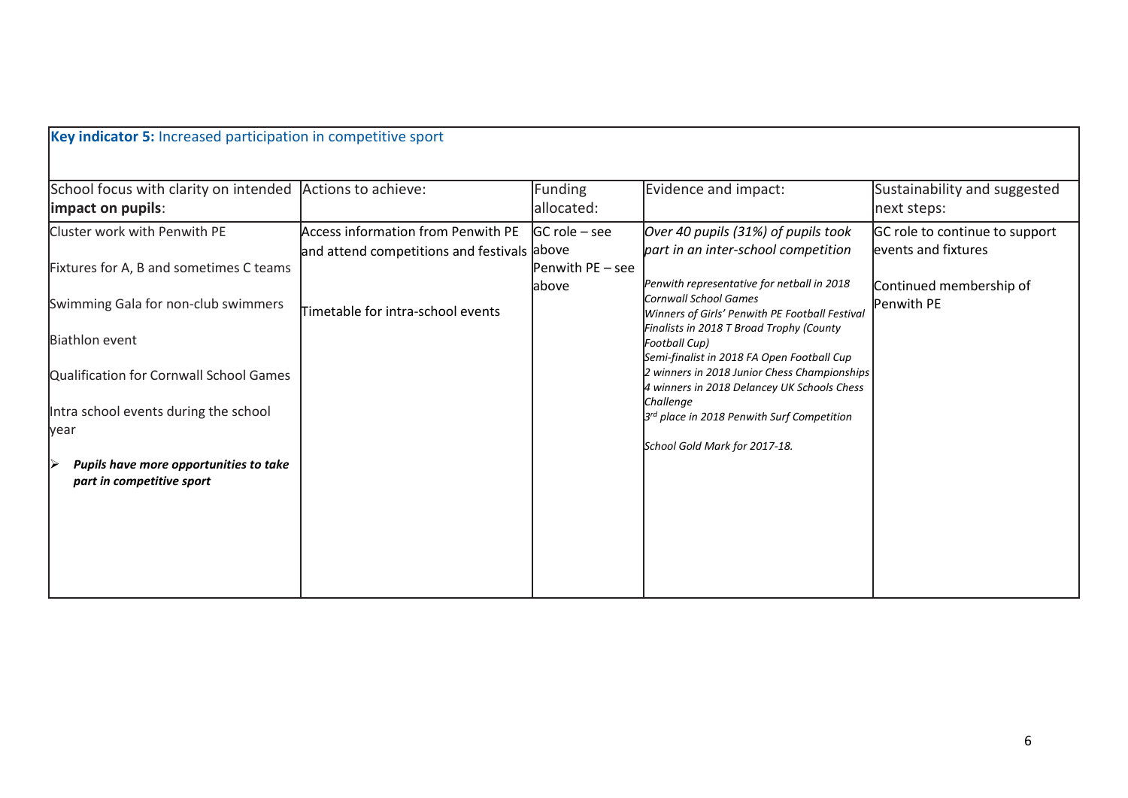| School focus with clarity on intended Actions to achieve:<br>impact on pupils:<br>Cluster work with Penwith PE<br>Fixtures for A, B and sometimes C teams<br>Swimming Gala for non-club swimmers<br><b>Biathlon event</b><br>Qualification for Cornwall School Games<br>Intra school events during the school | Access information from Penwith PE<br>and attend competitions and festivals above<br>Timetable for intra-school events | Funding<br>allocated:<br>$ GC$ role – see<br>Penwith PE - see<br><b>labove</b> | Evidence and impact:<br>Over 40 pupils (31%) of pupils took<br>part in an inter-school competition<br>Penwith representative for netball in 2018<br>Cornwall School Games<br>Winners of Girls' Penwith PE Football Festival<br>Finalists in 2018 T Broad Trophy (County<br>Football Cup) | Sustainability and suggested<br>next steps:<br>GC role to continue to support<br>events and fixtures<br>Continued membership of<br>Penwith PE |
|---------------------------------------------------------------------------------------------------------------------------------------------------------------------------------------------------------------------------------------------------------------------------------------------------------------|------------------------------------------------------------------------------------------------------------------------|--------------------------------------------------------------------------------|------------------------------------------------------------------------------------------------------------------------------------------------------------------------------------------------------------------------------------------------------------------------------------------|-----------------------------------------------------------------------------------------------------------------------------------------------|
|                                                                                                                                                                                                                                                                                                               |                                                                                                                        |                                                                                |                                                                                                                                                                                                                                                                                          |                                                                                                                                               |
|                                                                                                                                                                                                                                                                                                               |                                                                                                                        |                                                                                |                                                                                                                                                                                                                                                                                          |                                                                                                                                               |
|                                                                                                                                                                                                                                                                                                               |                                                                                                                        |                                                                                |                                                                                                                                                                                                                                                                                          |                                                                                                                                               |
|                                                                                                                                                                                                                                                                                                               |                                                                                                                        |                                                                                |                                                                                                                                                                                                                                                                                          |                                                                                                                                               |
|                                                                                                                                                                                                                                                                                                               |                                                                                                                        |                                                                                | Semi-finalist in 2018 FA Open Football Cup                                                                                                                                                                                                                                               |                                                                                                                                               |
|                                                                                                                                                                                                                                                                                                               |                                                                                                                        |                                                                                | 2 winners in 2018 Junior Chess Championships<br>4 winners in 2018 Delancey UK Schools Chess<br>Challenge                                                                                                                                                                                 |                                                                                                                                               |
| year                                                                                                                                                                                                                                                                                                          |                                                                                                                        |                                                                                | 3rd place in 2018 Penwith Surf Competition                                                                                                                                                                                                                                               |                                                                                                                                               |
| Pupils have more opportunities to take<br>▷<br>part in competitive sport                                                                                                                                                                                                                                      |                                                                                                                        |                                                                                | School Gold Mark for 2017-18.                                                                                                                                                                                                                                                            |                                                                                                                                               |
|                                                                                                                                                                                                                                                                                                               |                                                                                                                        |                                                                                |                                                                                                                                                                                                                                                                                          |                                                                                                                                               |
|                                                                                                                                                                                                                                                                                                               |                                                                                                                        |                                                                                |                                                                                                                                                                                                                                                                                          |                                                                                                                                               |